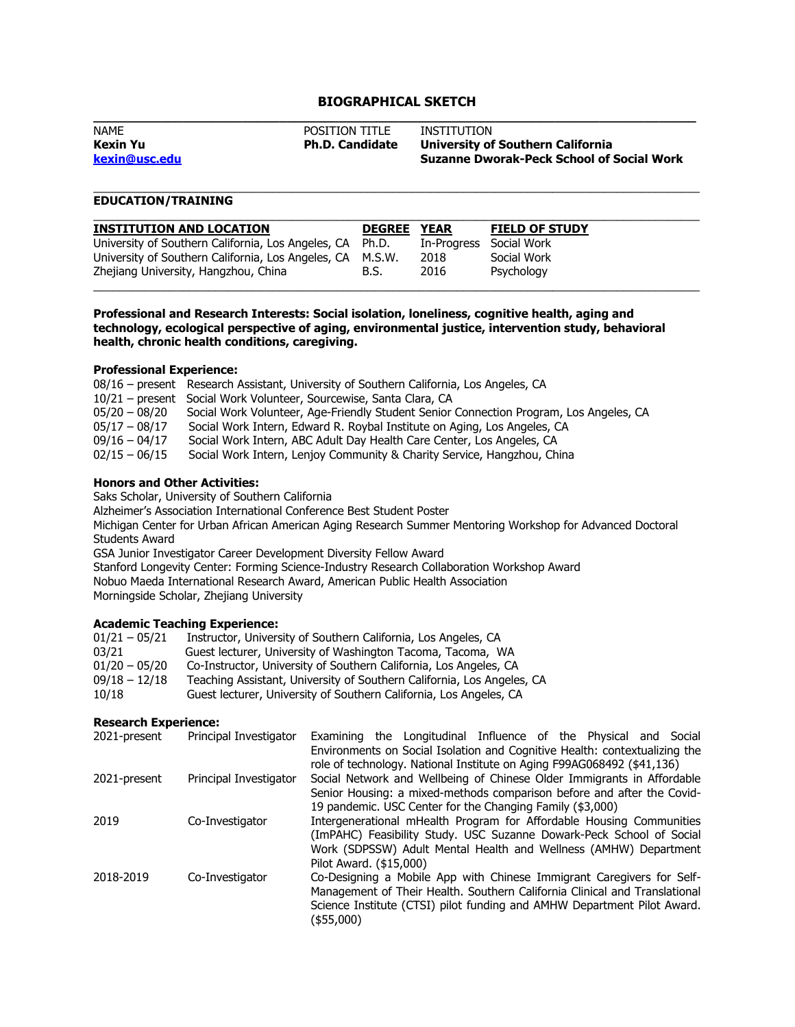# **BIOGRAPHICAL SKETCH**

| <b>NAME</b>     | POSITION TITLE         | INSTITUTION                                      |
|-----------------|------------------------|--------------------------------------------------|
| <b>Kexin Yu</b> | <b>Ph.D. Candidate</b> | <b>University of Southern California</b>         |
| kexin@usc.edu   |                        | <b>Suzanne Dworak-Peck School of Social Work</b> |
|                 |                        |                                                  |

\_\_\_\_\_\_\_\_\_\_\_\_\_\_\_\_\_\_\_\_\_\_\_\_\_\_\_\_\_\_\_\_\_\_\_\_\_\_\_\_\_\_\_\_\_\_\_\_\_\_\_\_\_\_\_\_\_\_\_\_\_\_\_\_\_\_\_\_\_\_\_\_\_\_\_\_\_\_\_\_\_\_\_\_\_\_\_\_\_\_\_\_\_\_\_

## **EDUCATION/TRAINING**

| University of Southern California, Los Angeles, CA Ph.D.<br>Social Work<br>In-Progress<br>University of Southern California, Los Angeles, CA M.S.W.<br>Social Work<br>2018 | <b>INSTITUTION AND LOCATION</b>      | <b>DEGREE</b> | <b>YEAR</b> | <b>FIELD OF STUDY</b> |
|----------------------------------------------------------------------------------------------------------------------------------------------------------------------------|--------------------------------------|---------------|-------------|-----------------------|
|                                                                                                                                                                            |                                      |               |             |                       |
|                                                                                                                                                                            |                                      |               |             |                       |
|                                                                                                                                                                            | Zhejiang University, Hangzhou, China | B.S.          | 2016        | Psychology            |

**Professional and Research Interests: Social isolation, loneliness, cognitive health, aging and technology, ecological perspective of aging, environmental justice, intervention study, behavioral health, chronic health conditions, caregiving.**

#### **Professional Experience:**

|                 | 08/16 - present Research Assistant, University of Southern California, Los Angeles, CA |
|-----------------|----------------------------------------------------------------------------------------|
|                 | 10/21 - present Social Work Volunteer, Sourcewise, Santa Clara, CA                     |
| $05/20 - 08/20$ | Social Work Volunteer, Age-Friendly Student Senior Connection Program, Los Angeles, CA |
| $05/17 - 08/17$ | Social Work Intern, Edward R. Roybal Institute on Aging, Los Angeles, CA               |
| $09/16 - 04/17$ | Social Work Intern, ABC Adult Day Health Care Center, Los Angeles, CA                  |
| $02/15 - 06/15$ | Social Work Intern, Lenjoy Community & Charity Service, Hangzhou, China                |

#### **Honors and Other Activities:**

Saks Scholar, University of Southern California

Alzheimer's Association International Conference Best Student Poster

Michigan Center for Urban African American Aging Research Summer Mentoring Workshop for Advanced Doctoral Students Award

GSA Junior Investigator Career Development Diversity Fellow Award

Stanford Longevity Center: Forming Science-Industry Research Collaboration Workshop Award

Nobuo Maeda International Research Award, American Public Health Association

Morningside Scholar, Zhejiang University

### **Academic Teaching Experience:**

| $01/21 - 05/21$ | Instructor, University of Southern California, Los Angeles, CA         |
|-----------------|------------------------------------------------------------------------|
| 03/21           | Guest lecturer, University of Washington Tacoma, Tacoma, WA            |
| $01/20 - 05/20$ | Co-Instructor, University of Southern California, Los Angeles, CA      |
| $09/18 - 12/18$ | Teaching Assistant, University of Southern California, Los Angeles, CA |
| 10/18           | Guest lecturer, University of Southern California, Los Angeles, CA     |

### **Research Experience:**

| Principal Investigator | Examining the Longitudinal Influence of the Physical and Social            |
|------------------------|----------------------------------------------------------------------------|
|                        | Environments on Social Isolation and Cognitive Health: contextualizing the |
|                        | role of technology. National Institute on Aging F99AG068492 (\$41,136)     |
| Principal Investigator | Social Network and Wellbeing of Chinese Older Immigrants in Affordable     |
|                        | Senior Housing: a mixed-methods comparison before and after the Covid-     |
|                        | 19 pandemic. USC Center for the Changing Family (\$3,000)                  |
| Co-Investigator        | Intergenerational mHealth Program for Affordable Housing Communities       |
|                        | (ImPAHC) Feasibility Study. USC Suzanne Dowark-Peck School of Social       |
|                        | Work (SDPSSW) Adult Mental Health and Wellness (AMHW) Department           |
|                        | Pilot Award. (\$15,000)                                                    |
| Co-Investigator        | Co-Designing a Mobile App with Chinese Immigrant Caregivers for Self-      |
|                        | Management of Their Health. Southern California Clinical and Translational |
|                        | Science Institute (CTSI) pilot funding and AMHW Department Pilot Award.    |
|                        | (\$55,000)                                                                 |
|                        | 2021-present<br>2021-present                                               |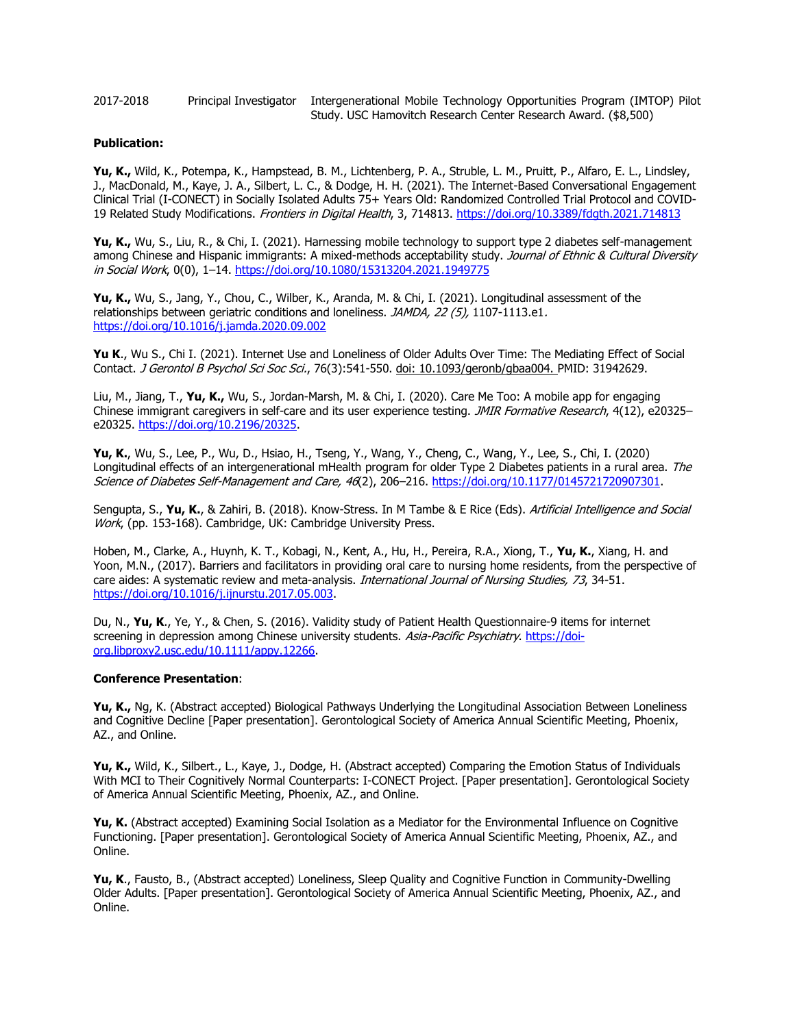2017-2018 Principal Investigator Intergenerational Mobile Technology Opportunities Program (IMTOP) Pilot Study. USC Hamovitch Research Center Research Award. (\$8,500)

#### **Publication:**

**Yu, K.,** Wild, K., Potempa, K., Hampstead, B. M., Lichtenberg, P. A., Struble, L. M., Pruitt, P., Alfaro, E. L., Lindsley, J., MacDonald, M., Kaye, J. A., Silbert, L. C., & Dodge, H. H. (2021). The Internet-Based Conversational Engagement Clinical Trial (I-CONECT) in Socially Isolated Adults 75+ Years Old: Randomized Controlled Trial Protocol and COVID-19 Related Study Modifications. Frontiers in Digital Health, 3, 714813.<https://doi.org/10.3389/fdgth.2021.714813>

**Yu, K.,** Wu, S., Liu, R., & Chi, I. (2021). Harnessing mobile technology to support type 2 diabetes self-management among Chinese and Hispanic immigrants: A mixed-methods acceptability study. Journal of Ethnic & Cultural Diversity in Social Work, 0(0), 1–14.<https://doi.org/10.1080/15313204.2021.1949775>

**Yu, K.,** Wu, S., Jang, Y., Chou, C., Wilber, K., Aranda, M. & Chi, I. (2021). Longitudinal assessment of the relationships between geriatric conditions and loneliness. JAMDA, 22 (5), 1107-1113.e1. <https://doi.org/10.1016/j.jamda.2020.09.002>

**Yu K**., Wu S., Chi I. (2021). Internet Use and Loneliness of Older Adults Over Time: The Mediating Effect of Social Contact. J Gerontol B Psychol Sci Soc Sci., 76(3):541-550. doi: 10.1093/geronb/gbaa004. PMID: 31942629.

Liu, M., Jiang, T., **Yu, K.,** Wu, S., Jordan-Marsh, M. & Chi, I. (2020). Care Me Too: A mobile app for engaging Chinese immigrant caregivers in self-care and its user experience testing. JMIR Formative Research, 4(12), e20325– e20325. [https://doi.org/10.2196/20325.](https://doi.org/10.2196/20325)

**Yu, K.**, Wu, S., Lee, P., Wu, D., Hsiao, H., Tseng, Y., Wang, Y., Cheng, C., Wang, Y., Lee, S., Chi, I. (2020) Longitudinal effects of an intergenerational mHealth program for older Type 2 Diabetes patients in a rural area. The Science of Diabetes Self-Management and Care, 46(2), 206-216. [https://doi.org/10.1177/0145721720907301.](https://doi.org/10.1177/0145721720907301)

Sengupta, S., **Yu, K.**, & Zahiri, B. (2018). Know-Stress. In M Tambe & E Rice (Eds). Artificial Intelligence and Social Work, (pp. 153-168). Cambridge, UK: Cambridge University Press.

Hoben, M., Clarke, A., Huynh, K. T., Kobagi, N., Kent, A., Hu, H., Pereira, R.A., Xiong, T., **Yu, K.**, Xiang, H. and Yoon, M.N., (2017). Barriers and facilitators in providing oral care to nursing home residents, from the perspective of care aides: A systematic review and meta-analysis. International Journal of Nursing Studies, 73, 34-51. [https://doi.org/10.1016/j.ijnurstu.2017.05.003.](https://doi.org/10.1016/j.ijnurstu.2017.05.003)

Du, N., **Yu, K**., Ye, Y., & Chen, S. (2016). Validity study of Patient Health Questionnaire-9 items for internet screening in depression among Chinese university students. Asia-Pacific Psychiatry. [https://doi](https://doi-org.libproxy2.usc.edu/10.1111/appy.12266)[org.libproxy2.usc.edu/10.1111/appy.12266.](https://doi-org.libproxy2.usc.edu/10.1111/appy.12266)

#### **Conference Presentation**:

**Yu, K.,** Ng, K. (Abstract accepted) Biological Pathways Underlying the Longitudinal Association Between Loneliness and Cognitive Decline [Paper presentation]. Gerontological Society of America Annual Scientific Meeting, Phoenix, AZ., and Online.

**Yu, K.,** Wild, K., Silbert., L., Kaye, J., Dodge, H. (Abstract accepted) Comparing the Emotion Status of Individuals With MCI to Their Cognitively Normal Counterparts: I-CONECT Project. [Paper presentation]. Gerontological Society of America Annual Scientific Meeting, Phoenix, AZ., and Online.

**Yu, K.** (Abstract accepted) Examining Social Isolation as a Mediator for the Environmental Influence on Cognitive Functioning. [Paper presentation]. Gerontological Society of America Annual Scientific Meeting, Phoenix, AZ., and Online.

**Yu, K**., Fausto, B., (Abstract accepted) Loneliness, Sleep Quality and Cognitive Function in Community-Dwelling Older Adults. [Paper presentation]. Gerontological Society of America Annual Scientific Meeting, Phoenix, AZ., and Online.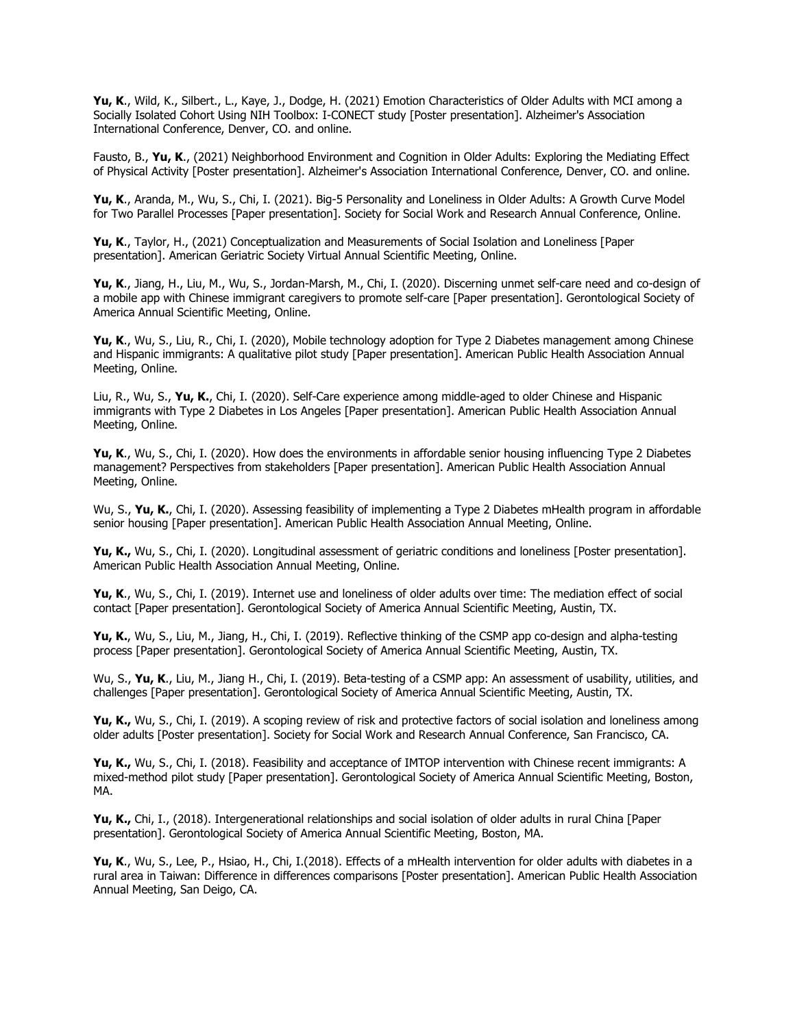**Yu, K**., Wild, K., Silbert., L., Kaye, J., Dodge, H. (2021) Emotion Characteristics of Older Adults with MCI among a Socially Isolated Cohort Using NIH Toolbox: I-CONECT study [Poster presentation]. Alzheimer's Association International Conference, Denver, CO. and online.

Fausto, B., **Yu, K**., (2021) Neighborhood Environment and Cognition in Older Adults: Exploring the Mediating Effect of Physical Activity [Poster presentation]. Alzheimer's Association International Conference, Denver, CO. and online.

**Yu, K**., Aranda, M., Wu, S., Chi, I. (2021). Big-5 Personality and Loneliness in Older Adults: A Growth Curve Model for Two Parallel Processes [Paper presentation]. Society for Social Work and Research Annual Conference, Online.

**Yu, K**., Taylor, H., (2021) Conceptualization and Measurements of Social Isolation and Loneliness [Paper presentation]. American Geriatric Society Virtual Annual Scientific Meeting, Online.

**Yu, K**., Jiang, H., Liu, M., Wu, S., Jordan-Marsh, M., Chi, I. (2020). Discerning unmet self-care need and co-design of a mobile app with Chinese immigrant caregivers to promote self-care [Paper presentation]. Gerontological Society of America Annual Scientific Meeting, Online.

**Yu, K**., Wu, S., Liu, R., Chi, I. (2020), Mobile technology adoption for Type 2 Diabetes management among Chinese and Hispanic immigrants: A qualitative pilot study [Paper presentation]. American Public Health Association Annual Meeting, Online.

Liu, R., Wu, S., **Yu, K.**, Chi, I. (2020). Self-Care experience among middle-aged to older Chinese and Hispanic immigrants with Type 2 Diabetes in Los Angeles [Paper presentation]. American Public Health Association Annual Meeting, Online.

**Yu, K**., Wu, S., Chi, I. (2020). How does the environments in affordable senior housing influencing Type 2 Diabetes management? Perspectives from stakeholders [Paper presentation]. American Public Health Association Annual Meeting, Online.

Wu, S., Yu, K., Chi, I. (2020). Assessing feasibility of implementing a Type 2 Diabetes mHealth program in affordable senior housing [Paper presentation]. American Public Health Association Annual Meeting, Online.

**Yu, K.,** Wu, S., Chi, I. (2020). Longitudinal assessment of geriatric conditions and loneliness [Poster presentation]. American Public Health Association Annual Meeting, Online.

**Yu, K**., Wu, S., Chi, I. (2019). Internet use and loneliness of older adults over time: The mediation effect of social contact [Paper presentation]. Gerontological Society of America Annual Scientific Meeting, Austin, TX.

**Yu, K.**, Wu, S., Liu, M., Jiang, H., Chi, I. (2019). Reflective thinking of the CSMP app co-design and alpha-testing process [Paper presentation]. Gerontological Society of America Annual Scientific Meeting, Austin, TX.

Wu, S., **Yu, K**., Liu, M., Jiang H., Chi, I. (2019). Beta-testing of a CSMP app: An assessment of usability, utilities, and challenges [Paper presentation]. Gerontological Society of America Annual Scientific Meeting, Austin, TX.

**Yu, K.,** Wu, S., Chi, I. (2019). A scoping review of risk and protective factors of social isolation and loneliness among older adults [Poster presentation]. Society for Social Work and Research Annual Conference, San Francisco, CA.

**Yu, K.,** Wu, S., Chi, I. (2018). Feasibility and acceptance of IMTOP intervention with Chinese recent immigrants: A mixed-method pilot study [Paper presentation]. Gerontological Society of America Annual Scientific Meeting, Boston, MA.

**Yu, K.,** Chi, I., (2018). Intergenerational relationships and social isolation of older adults in rural China [Paper presentation]. Gerontological Society of America Annual Scientific Meeting, Boston, MA.

**Yu, K**., Wu, S., Lee, P., Hsiao, H., Chi, I.(2018). Effects of a mHealth intervention for older adults with diabetes in a rural area in Taiwan: Difference in differences comparisons [Poster presentation]. American Public Health Association Annual Meeting, San Deigo, CA.